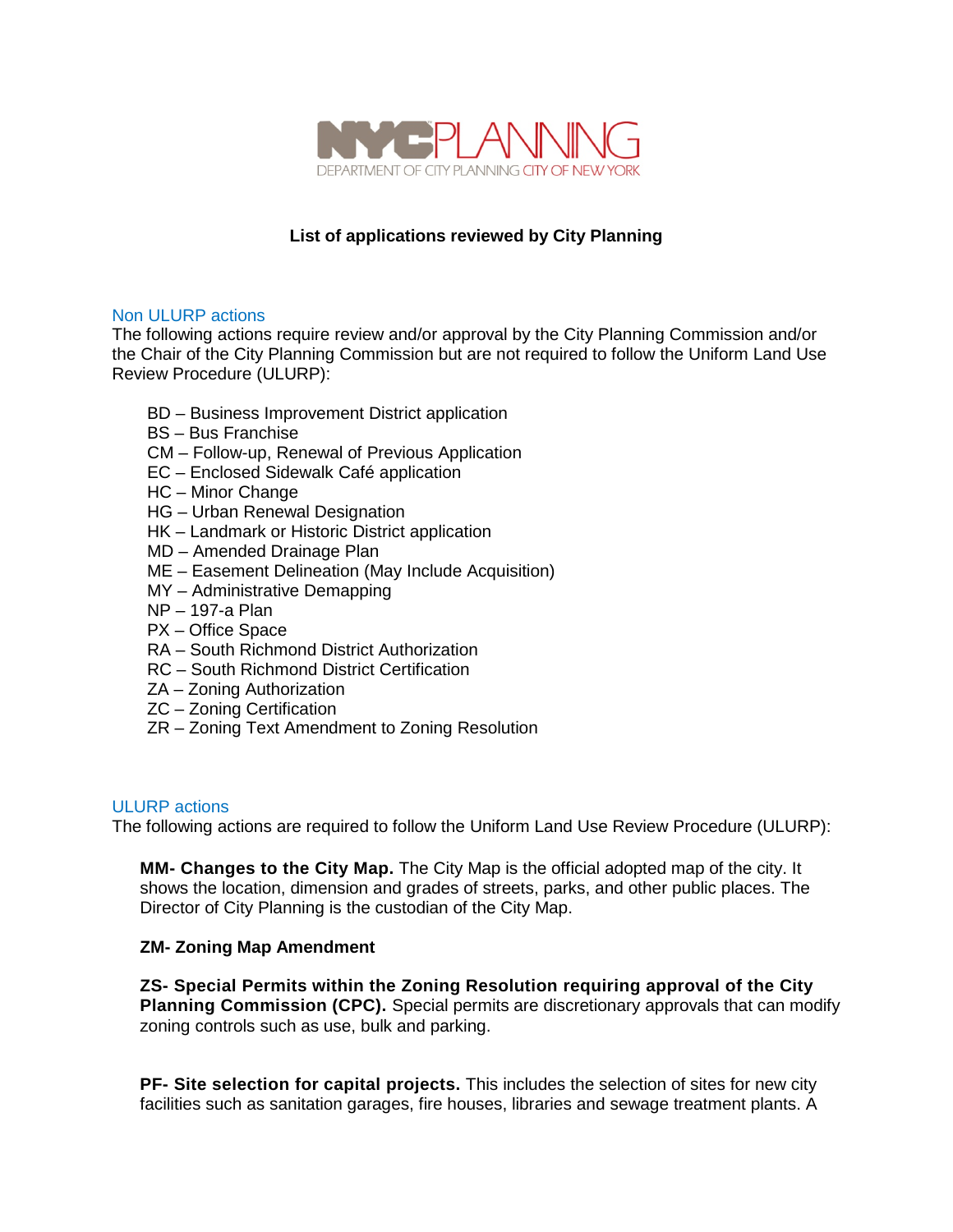

# **List of applications reviewed by City Planning**

### Non ULURP actions

The following actions require review and/or approval by the City Planning Commission and/or the Chair of the City Planning Commission but are not required to follow the Uniform Land Use Review Procedure (ULURP):

- BD Business Improvement District application
- BS Bus Franchise
- CM Follow-up, Renewal of Previous Application
- EC Enclosed Sidewalk Café application
- HC Minor Change
- HG Urban Renewal Designation
- HK Landmark or Historic District application
- MD Amended Drainage Plan
- ME Easement Delineation (May Include Acquisition)
- MY Administrative Demapping
- NP 197-a Plan
- PX Office Space
- RA South Richmond District Authorization
- RC South Richmond District Certification
- ZA Zoning Authorization
- ZC Zoning Certification
- ZR Zoning Text Amendment to Zoning Resolution

### ULURP actions

The following actions are required to follow the Uniform Land Use Review Procedure (ULURP):

**MM- Changes to the City Map.** The City Map is the official adopted map of the city. It shows the location, dimension and grades of streets, parks, and other public places. The Director of City Planning is the custodian of the City Map.

### **ZM- Zoning Map Amendment**

**ZS- Special Permits within the Zoning Resolution requiring approval of the City Planning Commission (CPC).** Special permits are discretionary approvals that can modify zoning controls such as use, bulk and parking.

**PF- Site selection for capital projects.** This includes the selection of sites for new city facilities such as sanitation garages, fire houses, libraries and sewage treatment plants. A